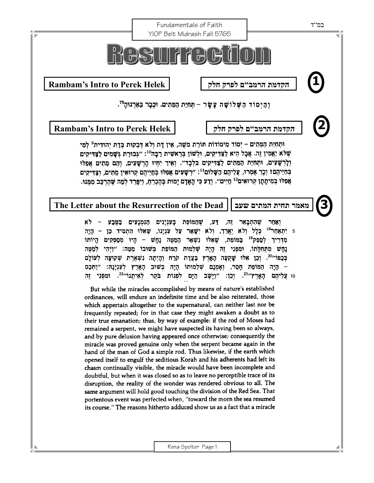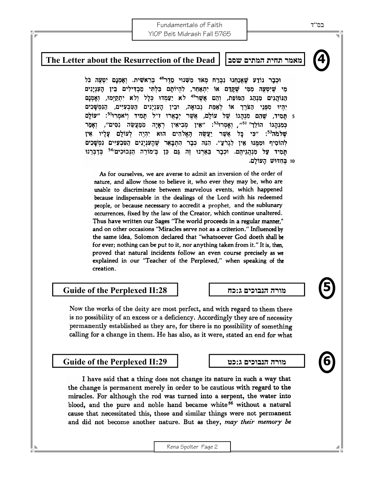Fundamentals of Faith YIOP Beit Midrash Fall 5765



# **4 The Letter about the Resurrection of the Dead שסב המתים תחית מאמר** וּכְבָר נוֹדַע שָׁאֲנַחִנוּ נִבְרַח מְאֹד מִשְׁנוּי סֵדֵר<sup>48</sup> כְּרֵאשִׁית. וְאָמְנָם יִטְעֶה כֹּל

מִי שִׁיִּטְעָה מִמִּי שֵׁקֵדַם אוֹ יִתְאַחֶר, לְהִיוֹתָם בְּלְתִּי מַבְדִּילִים בֵּין הָעִנְיָנִים הַנּוֹהֲגִים מִנְהָג הַמּוֹפָת, וְהֶם אֲשֶׁר<sup>49</sup> לֹא יַעֲמְדוּ כְּלַל וְלֹא יְתְקַיְמוּ, וְאָמְנָם יִהִיוּ מִפְּנֵי הַצֹּרֶךְ אוֹ לְאַמֵּת נְבוּאָה, וּבִין הָעִנְיָנִים הַטִּבְעִיִּים, הַנִּמְשָׁכִים 5 תָּמִיד, שֶׁהֶם מִנְהָגוֹ שֶׁל עוֹלָם, אֲשֶׁר יְבָאֲרוּ ז״ל תָּמִיד וְיֹאמְרוּ<sup>50</sup>: ״עוֹלָם כַּמְנָהַגוֹ הוֹלֵך<sup>ַ 51</sup>", וְאָמְרוּ<sup>52</sup>: "אִין מִבְיאִין רְאַיָה מְמֶעֲשֶׂה נִסִּים", וְאָמַר שְלֹמֹה<sup>53</sup>: ״כִּי כָּל אֲשֶׁר יַעֲשֶׂה הָאֱלֹהִים הוּא יְהָיֶה לְעוֹלָם עָלָיו אִין לְהוֹסִיף וּמִמְּנוּ אִין לְגִרֹעַ״. הִנֵּה כִּבָר הִתְבָּאֵר שָׁהָעִנְיָנִים הַטִּבְעִיִּים נִמְשָׁכִים תְּמִיד עַל מִנְהֲגִיהֶם. וּכְבָר בֵאַרְנוּ זֶה גַּם כֵּן בְּ׳מוֹרֵה הַנְּבוּכִים׳<sup>54</sup> בְּדַבְּרֵנוּ 10 בחדוש העולם.

As for ourselves, we are averse to admit an inversion of the order of nature, and allow those to believe it, who ever they may be, who are unable to discriminate between marvelous events, which happened because indispensable in the dealings of the Lord with his redeemed people, or because necessary to accredit a prophet, and the sublunary occurrences, fixed by the law of the Creator, which continue unaltered. Thus have written our Sages "The world proceeds in a regular manner," and on other occasions "Miracles serve not as a criterion." Influenced by the same idea, Solomon declared that "whatsoever God doeth shall be for ever; nothing can be put to it, nor anything taken from it." It is, then, proved that natural incidents follow an even course precisely as we explained in our "Teacher of the Perplexed," when speaking of the creation.

## **Guide of the Perplexed II:28 כח:ג הנבוכים מורה**

**5** 

**6** 

Now the works of the deity are most perfect, and with regard to them there is no possibility of an excess or a deficiency. Accordingly they are of necessity permanently established as they are, for there is no possibility of something calling for a change in them. He has also, as it were, stated an end for what

### **Guide of the Perplexed II:29 כט:ג הנבוכים מורה**

I have said that a thing does not change its nature in such a way that the change is permanent merely in order to be cautious with regard to the miracles. For although the rod was turned into a serpent, the water into blood, and the pure and noble hand became white<sup>56</sup> without a natural cause that necessitated this, these and similar things were not permanent and did not become another nature. But as they, may their memory be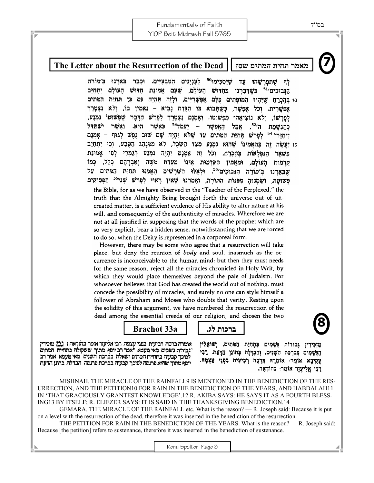Fundamentals of Faith YIOP Beit Midrash Fall 5765

**7** 

### **The Letter about the Resurrection of the Dead שסז המתים תחית מאמר**

לה שתפרשהוּ עַד שֵׁיַסְכִּימוּ<sup>50</sup> לַעְנִיַנִים הַטְּבְעִיִּים. וּכְבָר בארנו ב׳מורה הַגָּבוּכִים<sup>51</sup> כִּשֶׁדְּבַּרְנוּ בְּחִדּוּשׁ הָעוֹלָם, שֶׁעָם אֱמוּנַת חִדוּשׁ הָעוֹלָם יִתְחַיֵּב 10 בהכרת שיהיו המופתים כלם אפשריים, ולוה תהיה גם כן תחית המתים אפשרית. וכל אפשר, כשתבוא בו הגדת נביא – נאַמין בו, ולא נצטרֵך לפרשו, ולא נוציאהו מפשוטו. ואמנם נצטרך לפרש הדכר שפשוטו נמנע, " - יַעֲמֹד<sup>53</sup> כאשר ַה<sup>,52</sup>, אֵבָל הַאָפִשָּׁר ואשר ישתדל הוא. כהגשמת ויחזר<sup>05</sup> לפרש תּחִיַּת הַמֶּתִים עַד שָׁלֹא יִהְיָה שָׁם שוּב גְפִשׁ לְגוּף – אָמְנָם 15 יַעֲשֶׂה זֶה בְּהָאֲמִינוֹ שֶׁהוּא נִמְנַע מְצַד הַשֶּׂכְל, לֹא מִמְּנְהַג הַטְּבַע, וְכֵן יִתְחַיֵּב בִּשָׁאֲר הַנִּפְלָאוֹת בְּהִכְרֶחַ, וְכֹל זֶה אָמְנָם יִהְיֶה נִמְנָע לְגַמְרֵי לְפִי אֱמוּנַת קדמות העולם, ומַאֲמִין הַקַּדְמוּת אִינוֹ מֵעֲדַת מֹשֶׁה וְאַבְרָהָם כְּלָל, כְּמוֹ שִׁבֵאֲרְנוּ בִימוֹרֶה הַנְבוּכִים<sup>55</sup>. וּלְאֵלּוּ הַשָּׁרַשִּׁים הָאֲמֵנּוּ תְּחָיַת הַמְּתִים עַל פְּשׁוּטָה, וְשַׂמְנוּהָ מִפְּנוֹת הַחּוֹרָה, וְאָמַרְנוּ שֶׁאֵין רָאוּי לְפָרֵשׁ שָׁנֵי<sup>56</sup> הַפְּסוּקִים the Bible, for as we have observed in the "Teacher of the Perplexed," the truth that the Almighty Being brought forth the universe out of uncreated matter, is a sufficient evidence of His ability to alter nature at his will, and consequently of the authenticity of miracles. Wherefore we are not at all justified in supposing that the words of the prophet which are so very explicit, bear a hidden sense, notwithstanding that we are forced to do so, when the Deity is represented in a corporeal form.

However, there may be some who agree that a resurrection will take place, but deny the reunion of body and soul, inasmuch as the occurrence is inconceivable to the human mind; but then they must needs for the same reason, reject all the miracles chronicled in Holy Writ, by which they would place themselves beyond the pale of Judaism. For whosoever believes that God has created the world out of nothing, must concede the possibility of miracles, and surely no one can style himself a follower of Abraham and Moses who doubts that verity. Resting upon the solidity of this argument, we have numbered the resurrection of the dead among the essential creeds of our religion, and chosen the two

### **ברכות לג. a33 Brachot**

אומרה ברכה רביעית בפני עצמה רבי אליעור אימר בהודאה : גבל מוכירין "גבורות גשמים מאי מעמא \*אמר רב יוסף מתוך ששקולה כתחיית המתים לפיכך קבעוה בתחיית המתים ושאלה. בברכת השנים `מאי מעמא. אמר רב יוסף מתוך שהיא פרנסה לפיכך קבעוה בברכת פרנסה. הבדלה. בחונן הדעת

מַזְכִּירִין גִּבוּרוֹת גִּשָׁמִים בָּתְחִיַּת הַמֵּתִים, וְשׁוֹאֲלִין הַגְּשָׁמִים בְּבִרְכַּת הַשָּׁנִים, וְהַבְדָלָה בְּחוֹגֵן הַדָּעַת. רַבְּי צַקִיבָא אוֹמֵר: אוֹמְרָהּ בְּרָכָה רְבִיעִית בִּפְגֵי צַצְמָהּ. רַבִּי אֱלִיעֳוֶר אוֹמֶר: בְּהוֹדָאָה.

 MISHNAH. THE MIRACLE OF THE RAINFALL9 IS MENTIONED IN THE BENEDICTION OF THE RES-URRECTION, AND THE PETITION10 FOR RAIN IN THE BENEDICTION OF THE YEARS, AND HABDALAH11 IN 'THAT GRACIOUSLY GRANTEST KNOWLEDGE'.12 R. AKIBA SAYS: HE SAYS IT AS A FOURTH BLESS-ING13 BY ITSELF; R. ELIEZER SAYS: IT IS SAID IN THE THANKSGIVING BENEDICTION.14

GEMARA. THE MIRACLE OF THE RAINFALL etc. What is the reason?  $- R$ . Joseph said: Because it is put on a level with the resurrection of the dead, therefore it was inserted in the benediction of the resurrection.

 THE PETITION FOR RAIN IN THE BENEDICTION OF THE YEARS. What is the reason? — R. Joseph said: Because [the petition] refers to sustenance, therefore it was inserted in the benediction of sustenance.

**8**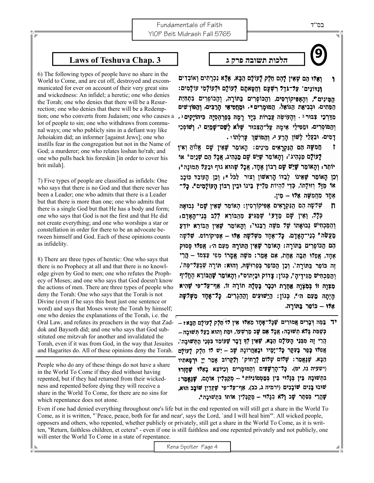Fundamentals of Faith YIOP Beit Midrash Fall 5765



ואלו הם שאין להם חלק לעולם הכא, אלא נכרתים ואוכדים ١ ונדונים' עַל־גֹדֶל רְשָׁעָם וְחַטָּאתַם לְעוֹלָם וּלְעוֹלְמֶי עוֹלָמִים: המינים", והַאֲפִּיקוֹרְסִים, וְהַכּוֹפְרִים בַּתּוֹרָה, וְהַכּוֹפְרִים בִּתְחָיַת הַמֶּתִים, וּבְבִיאַת הַגּוֹאֶל, הַמּוּמַרִים \*, וּמֵחֲסִיאֵי הַרֲבִּים, וְהַפּוֹרְשִׁים מְדַרְכֵי צְבּוּר יּ יְהַעוֹשֶׂה עֲבָרוֹת בְּיַד רַמַה בְּפַרְהֶסְיַה כִּיהוֹיַקִים ּ , וְהַמּוֹסְרִים, וּמַטִּילֵי אֵימֵה עֲל־הַצָּבּוּר שָׁלֹא לְשָׁם־שָׁמֲיִם י, וְשׁוֹפְכֵי דַמִים, וּבַעֲלֵי לָשׁוֹן הַרַע הּ וְהַמּוֹשֶׁךְ עַרְלְתוֹי.

חֲמִשָּׁה הֵם הַנִּקְרַאִים מִינִים: הָאוֹמֵר שָׁאֵין שָׁם אֱלֹוֹהַ וְאִין  $\mathbf{r}$ לַעוֹלָם מַנְהִיג': וְהָאוֹמֶר שָׁיֵשׁ שָׁם מֵנְהִיג, אֲכַל הָם שָׁנֵיִם" אוֹ יוֹתֵר; וְהָאוֹמֶר שָׁיֵשׁ שָׁם רְבוֹן אֶחֶד, אֲבָל שָׁהוּא גוּף וּבַעַל תְּמוּנֵה"; וְכֵן הָאוֹמֵר שָׁאֵינוֹ לְבַדּוֹ הָרְאשׁוֹן וְצוּר לֵכֹּל \*; וְכֵן הָעוֹבֵד כּוֹכָב או מַזָּל וְזוּלָתוֹ, כְּדֵי לִהְיוֹת מֵלִּיץ בִּינוֹ וּבִין רְבּוֹן הָעוֹלָמִים\*. כַּלִּ־ אָחַד מֶחַמְשָׁה אָלּוּ – מִין.

- שְׁלִשָּׁה הֵם הַנִּקְרָאִים אֵפִּיקוֹרְסִין: הָאוֹמֶר שָׁאֵין שָׁם י נִבוּאַה  $\mathbf n$ כְּלָל, וְאֵין שָׁם מַדָּע<sup>ַנ</sup> שֶׁמַגִּיעַ מִהַבּוֹרֵא לְלָב בְּנֵי־הָאַדַם, וְהַמַּכְחִישׁ נְבוּאָתוֹ שֶׁלֹּ מֹשֶׁה רַבֵּנוּי, וְהָאוֹמֵר שָׁאִין הַבּוֹרֵא יוֹדֵעַ מַעֲשֶׂה" בְנֵי־הָאֲדָם. כַּלֹּ־אֶחֶד מִשְׁלּשָׁה אָלּוּ – אָפִיקוֹרוֹס. שָׁלִשַּׁה הַם הַכּוֹפְרִים בַּתּוֹרָה: הָאוֹמֶר שָׁאָין הַתּוֹרָה מֵעָם ה׳; אַפְלּוּ פֵּסוּק אחד, אפיו תכה אחת, אם אמר: משה אמרו מפי עַצְמוֹ – הַרֵי זֵה כּוֹפֵר בַּתּוֹרַה'. וְכֵן הַכּוֹפֵר בִּפֵרוּשָׁהּ, וְהוּא: תּוֹרָה שֶׁבְּעַל־פֶּה', וְהַמֵּכְחִישׁ מַגִּידֵיהַ", כִּגוֹן: צָדוֹק וּבֵיְתוֹס": וְהָאוֹמֵר שָׁהַבּוֹרֵא הֶחֱלִיף מצוה זו במצוה אחרת וכבר בטלה תורה זו, אף־עַל־פִּי שָׁהִיא היתה מעם הי\*, כגון: הַיַשׁוּעִים וְהַהַגְרִים. כַּלּ־אָחַד מִשְׁלִשָּׁה אַלּוּ – כּוֹפָר בֵּתּוֹרֵה.
- יך בַּמֶּה דְּבָרִים אֲמוּרִים שָׁכָּל־אָחָד מֵאֵלּוּ אֵין דּוֹ חֻלֵּק לַעוֹלַם הַבֵּא ?-כְשֶׁמֵת כְּלֹא תְשׁוּבָה; אֲבָל אָם שָׁב מֵרְשָׁעוֹ, וּמֵת וְהוּא בַעַל תְּשׁוּבַה – הֵרֵי זֵה מִכְּנֵי הָעוֹלָם הַבָּא, שָׁאֵין לְךָ דַבָר שָׁעוֹמֶד בִּפְנֵי הִתְּשׁוּבָהִ', אֲפִלּוּ כָּפַר בָּעָקָר כָּל־יָמָיו וּבָאַחֲרוֹנָה שָׁב – יֵשׁ לּוֹ הֻלֵּק לַעוֹלַם הַבָּא, שֶׁנֶאֲמֵר: שָׁלּוֹם שָׁלּוֹם לַּרַחוֹק' וְלַקֵרוֹב אֲמֵר יִיַ וּרְפָאַתִיוּ (ישעיה נז, יט). כָּל־הָרְשָׁעִים וְהַמּוּמָרִים וְכֵיוֹצֵא בָאֲלּוּ שָׁחַזְרוּ בְתְשׁוּבָה בֵּין בְּגָלוּי בֵּין בְּמַטְמוֹנִיוֹת" - מְקַבְּלִין אוֹתָם, שָׁגַּאֲמֵר: שׁוּבוּ בָּנִים שׁוֹבָבִים (ירמיה ג, כב), אַף־עַל־פִּי שָׁעַדַיִן שׁוֹבֵב הוּא. שָׁהֲרֵי בְּסֵתֶר שָׁב וְלֹא בְגַלוּי - מְקַבְּלְין אוֹתוֹ בְּתְשׁוּבָה".

Even if one had denied everything throughout one's life but in the end repented on will still get a share in the World To Come, as it is written, "`Peace, peace, both for far and near', says the Lord, `and I will heal him'". All wicked people, opposers and others, who repented, whether publicly or privately, still get a share in the World To Come, as it is written, "Return, faithless children, et cetera" - even if one is still faithless and one repented privately and not publicly, one will enter the World To Come in a state of repentance.

### **הלכות תשובה פרק <sup>ג</sup> 3 .Chap Teshuva of Laws 9**

6) The following types of people have no share in the World to Come, and are cut off, destroyed and excommunicated for ever on account of their very great sins and wickedness: An infidel; a heretic; one who denies the Torah; one who denies that there will be a Resurrection; one who denies that there will be a Redemption; one who converts from Judaism; one who causes a lot of people to sin; one who withdraws from communal ways; one who publicly sins in a defiant way like Jehoiakim did; an informer [against Jews]; one who instills fear in the congregation but not in the Name of God; a murderer; one who relates loshan ho'rah; and one who pulls back his foreskin [in order to cover his brit milah].

7) Five types of people are classified as infidels: One who says that there is no God and that there never has been a Leader; one who admits that there is a Leader but that there is more than one; one who admits that there is a single God but that He has a body and form; one who says that God is not the first and that He did not create everything; and one who worships a star or constellation in order for there to be an advocate between himself and God. Each of these opinions counts as infidelity.

8) There are three types of heretic: One who says that there is no Prophecy at all and that there is no knowledge given by God to men; one who refutes the Prophecy of Moses; and one who says that God doesn't know the actions of men. There are three types of people who deny the Torah: One who says that the Torah is not Divine (even if he says this bout just one sentence or word) and says that Moses wrote the Torah by himself; one who denies the explanations of the Torah, i.e. the Oral Law, and refutes its preachers in the way that Zaddok and Baysoth did; and one who says that God substituted one mitzvah for another and invalidated the Torah, even if it was from God, in the way that Jesuites and Hagarites do. All of these opinions deny the Torah.

People who do any of these things do not have a share in the World To Come if they died without having repented, but if they had returned from their wickedness and repented before dying they will receive a share in the World To Come, for there are no sins for which repentance does not atone.

Rena Spolter Page 4